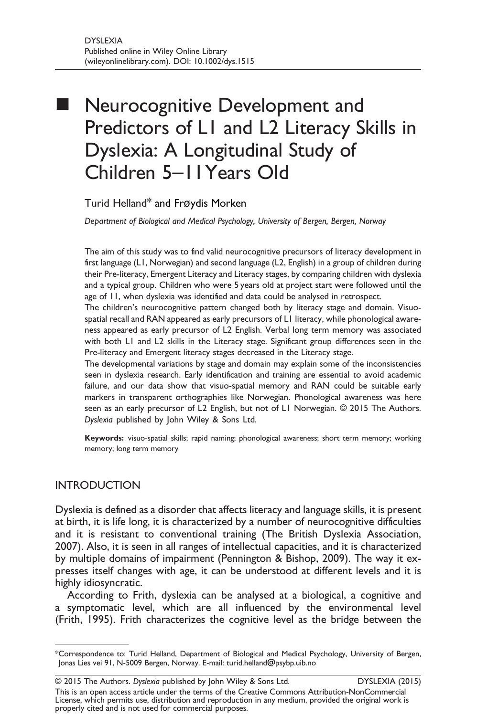# ■ Neurocognitive Development and Predictors of L1 and L2 Literacy Skills in Dyslexia: A Longitudinal Study of Children 5–11Years Old

# Turid Helland\* and Frøydis Morken

Department of Biological and Medical Psychology, University of Bergen, Bergen, Norway

The aim of this study was to find valid neurocognitive precursors of literacy development in first language (L1, Norwegian) and second language (L2, English) in a group of children during their Pre-literacy, Emergent Literacy and Literacy stages, by comparing children with dyslexia and a typical group. Children who were 5 years old at project start were followed until the age of 11, when dyslexia was identified and data could be analysed in retrospect.

The children's neurocognitive pattern changed both by literacy stage and domain. Visuospatial recall and RAN appeared as early precursors of L1 literacy, while phonological awareness appeared as early precursor of L2 English. Verbal long term memory was associated with both L1 and L2 skills in the Literacy stage. Significant group differences seen in the Pre-literacy and Emergent literacy stages decreased in the Literacy stage.

The developmental variations by stage and domain may explain some of the inconsistencies seen in dyslexia research. Early identification and training are essential to avoid academic failure, and our data show that visuo-spatial memory and RAN could be suitable early markers in transparent orthographies like Norwegian. Phonological awareness was here seen as an early precursor of L2 English, but not of L1 Norwegian. © 2015 The Authors. Dyslexia published by John Wiley & Sons Ltd.

Keywords: visuo-spatial skills; rapid naming; phonological awareness; short term memory; working memory; long term memory

# **INTRODUCTION**

Dyslexia is defined as a disorder that affects literacy and language skills, it is present at birth, it is life long, it is characterized by a number of neurocognitive difficulties and it is resistant to conventional training (The British Dyslexia Association, 2007). Also, it is seen in all ranges of intellectual capacities, and it is characterized by multiple domains of impairment (Pennington & Bishop, 2009). The way it expresses itself changes with age, it can be understood at different levels and it is highly idiosyncratic.

According to Frith, dyslexia can be analysed at a biological, a cognitive and a symptomatic level, which are all influenced by the environmental level (Frith, 1995). Frith characterizes the cognitive level as the bridge between the

This is an open access article under the terms of the [Creative Commons Attribution-NonCommercial](http://creativecommons.org/licenses/by-nc/4.0/) License, which permits use, distribution and reproduction in any medium, provided the original work is properly cited and is not used for commercial purposes. © 2015 The Authors. Dyslexia published by John Wiley & Sons Ltd. DYSLEXIA (2015)

<sup>\*</sup>Correspondence to: Turid Helland, Department of Biological and Medical Psychology, University of Bergen, Jonas Lies vei 91, N-5009 Bergen, Norway. E-mail: turid.helland@psybp.uib.no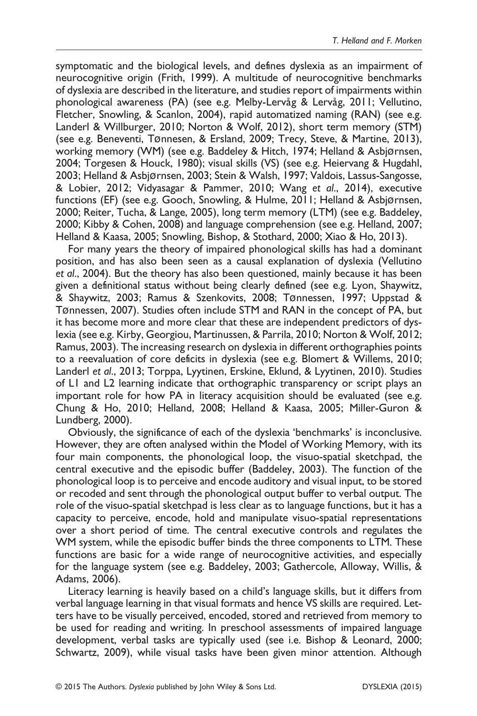symptomatic and the biological levels, and defines dyslexia as an impairment of neurocognitive origin (Frith, 1999). A multitude of neurocognitive benchmarks of dyslexia are described in the literature, and studies report of impairments within phonological awareness (PA) (see e.g. Melby-Lervåg & Lervåg, 2011; Vellutino, Fletcher, Snowling, & Scanlon, 2004), rapid automatized naming (RAN) (see e.g. Landerl & Willburger, 2010; Norton & Wolf, 2012), short term memory (STM) (see e.g. Beneventi, Tønnesen, & Ersland, 2009; Trecy, Steve, & Martine, 2013), working memory (WM) (see e.g. Baddeley & Hitch, 1974; Helland & Asbjørnsen, 2004; Torgesen & Houck, 1980); visual skills (VS) (see e.g. Heiervang & Hugdahl, 2003; Helland & Asbjørnsen, 2003; Stein & Walsh, 1997; Valdois, Lassus-Sangosse, & Lobier, 2012; Vidyasagar & Pammer, 2010; Wang et al., 2014), executive functions (EF) (see e.g. Gooch, Snowling, & Hulme, 2011; Helland & Asbjørnsen, 2000; Reiter, Tucha, & Lange, 2005), long term memory (LTM) (see e.g. Baddeley, 2000; Kibby & Cohen, 2008) and language comprehension (see e.g. Helland, 2007; Helland & Kaasa, 2005; Snowling, Bishop, & Stothard, 2000; Xiao & Ho, 2013).

For many years the theory of impaired phonological skills has had a dominant position, and has also been seen as a causal explanation of dyslexia (Vellutino et al., 2004). But the theory has also been questioned, mainly because it has been given a definitional status without being clearly defined (see e.g. Lyon, Shaywitz, & Shaywitz, 2003; Ramus & Szenkovits, 2008; Tønnessen, 1997; Uppstad & Tønnessen, 2007). Studies often include STM and RAN in the concept of PA, but it has become more and more clear that these are independent predictors of dyslexia (see e.g. Kirby, Georgiou, Martinussen, & Parrila, 2010; Norton & Wolf, 2012; Ramus, 2003). The increasing research on dyslexia in different orthographies points to a reevaluation of core deficits in dyslexia (see e.g. Blomert & Willems, 2010; Landerl et al., 2013; Torppa, Lyytinen, Erskine, Eklund, & Lyytinen, 2010). Studies of L1 and L2 learning indicate that orthographic transparency or script plays an important role for how PA in literacy acquisition should be evaluated (see e.g. Chung & Ho, 2010; Helland, 2008; Helland & Kaasa, 2005; Miller-Guron & Lundberg, 2000).

Obviously, the significance of each of the dyslexia 'benchmarks' is inconclusive. However, they are often analysed within the Model of Working Memory, with its four main components, the phonological loop, the visuo-spatial sketchpad, the central executive and the episodic buffer (Baddeley, 2003). The function of the phonological loop is to perceive and encode auditory and visual input, to be stored or recoded and sent through the phonological output buffer to verbal output. The role of the visuo-spatial sketchpad is less clear as to language functions, but it has a capacity to perceive, encode, hold and manipulate visuo-spatial representations over a short period of time. The central executive controls and regulates the WM system, while the episodic buffer binds the three components to LTM. These functions are basic for a wide range of neurocognitive activities, and especially for the language system (see e.g. Baddeley, 2003; Gathercole, Alloway, Willis, & Adams, 2006).

Literacy learning is heavily based on a child's language skills, but it differs from verbal language learning in that visual formats and hence VS skills are required. Letters have to be visually perceived, encoded, stored and retrieved from memory to be used for reading and writing. In preschool assessments of impaired language development, verbal tasks are typically used (see i.e. Bishop & Leonard, 2000; Schwartz, 2009), while visual tasks have been given minor attention. Although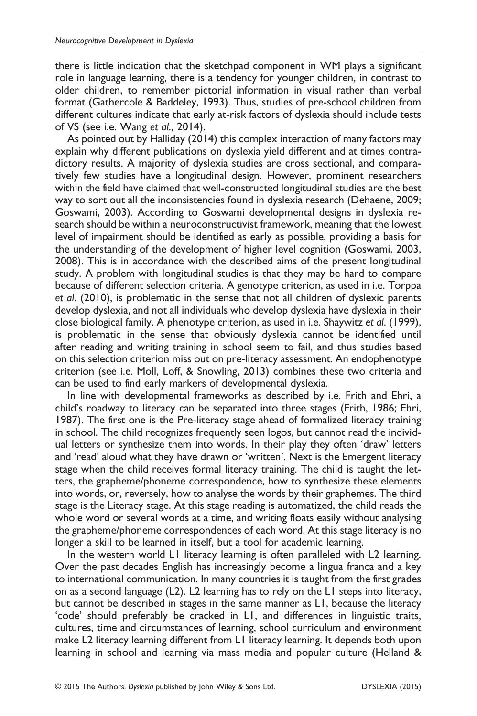there is little indication that the sketchpad component in WM plays a significant role in language learning, there is a tendency for younger children, in contrast to older children, to remember pictorial information in visual rather than verbal format (Gathercole & Baddeley, 1993). Thus, studies of pre-school children from different cultures indicate that early at-risk factors of dyslexia should include tests of VS (see i.e. Wang et al., 2014).

As pointed out by Halliday (2014) this complex interaction of many factors may explain why different publications on dyslexia yield different and at times contradictory results. A majority of dyslexia studies are cross sectional, and comparatively few studies have a longitudinal design. However, prominent researchers within the field have claimed that well-constructed longitudinal studies are the best way to sort out all the inconsistencies found in dyslexia research (Dehaene, 2009; Goswami, 2003). According to Goswami developmental designs in dyslexia research should be within a neuroconstructivist framework, meaning that the lowest level of impairment should be identified as early as possible, providing a basis for the understanding of the development of higher level cognition (Goswami, 2003, 2008). This is in accordance with the described aims of the present longitudinal study. A problem with longitudinal studies is that they may be hard to compare because of different selection criteria. A genotype criterion, as used in i.e. Torppa et al. (2010), is problematic in the sense that not all children of dyslexic parents develop dyslexia, and not all individuals who develop dyslexia have dyslexia in their close biological family. A phenotype criterion, as used in i.e. Shaywitz et al. (1999), is problematic in the sense that obviously dyslexia cannot be identified until after reading and writing training in school seem to fail, and thus studies based on this selection criterion miss out on pre-literacy assessment. An endophenotype criterion (see i.e. Moll, Loff, & Snowling, 2013) combines these two criteria and can be used to find early markers of developmental dyslexia.

In line with developmental frameworks as described by i.e. Frith and Ehri, a child's roadway to literacy can be separated into three stages (Frith, 1986; Ehri, 1987). The first one is the Pre-literacy stage ahead of formalized literacy training in school. The child recognizes frequently seen logos, but cannot read the individual letters or synthesize them into words. In their play they often 'draw' letters and 'read' aloud what they have drawn or 'written'. Next is the Emergent literacy stage when the child receives formal literacy training. The child is taught the letters, the grapheme/phoneme correspondence, how to synthesize these elements into words, or, reversely, how to analyse the words by their graphemes. The third stage is the Literacy stage. At this stage reading is automatized, the child reads the whole word or several words at a time, and writing floats easily without analysing the grapheme/phoneme correspondences of each word. At this stage literacy is no longer a skill to be learned in itself, but a tool for academic learning.

In the western world L1 literacy learning is often paralleled with L2 learning. Over the past decades English has increasingly become a lingua franca and a key to international communication. In many countries it is taught from the first grades on as a second language (L2). L2 learning has to rely on the L1 steps into literacy, but cannot be described in stages in the same manner as L1, because the literacy 'code' should preferably be cracked in L1, and differences in linguistic traits, cultures, time and circumstances of learning, school curriculum and environment make L2 literacy learning different from L1 literacy learning. It depends both upon learning in school and learning via mass media and popular culture (Helland &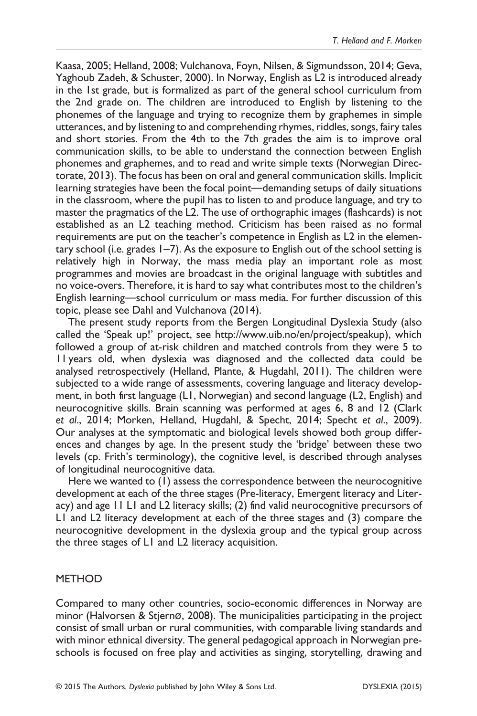Kaasa, 2005; Helland, 2008; Vulchanova, Foyn, Nilsen, & Sigmundsson, 2014; Geva, Yaghoub Zadeh, & Schuster, 2000). In Norway, English as L2 is introduced already in the 1st grade, but is formalized as part of the general school curriculum from the 2nd grade on. The children are introduced to English by listening to the phonemes of the language and trying to recognize them by graphemes in simple utterances, and by listening to and comprehending rhymes, riddles, songs, fairy tales and short stories. From the 4th to the 7th grades the aim is to improve oral communication skills, to be able to understand the connection between English phonemes and graphemes, and to read and write simple texts (Norwegian Directorate, 2013). The focus has been on oral and general communication skills. Implicit learning strategies have been the focal point—demanding setups of daily situations in the classroom, where the pupil has to listen to and produce language, and try to master the pragmatics of the L2. The use of orthographic images (flashcards) is not established as an L2 teaching method. Criticism has been raised as no formal requirements are put on the teacher's competence in English as L2 in the elementary school (i.e. grades 1–7). As the exposure to English out of the school setting is relatively high in Norway, the mass media play an important role as most programmes and movies are broadcast in the original language with subtitles and no voice-overs. Therefore, it is hard to say what contributes most to the children's English learning—school curriculum or mass media. For further discussion of this topic, please see Dahl and Vulchanova (2014).

The present study reports from the Bergen Longitudinal Dyslexia Study (also called the 'Speak up!' project, see [http://www.uib.no/en/project/speakup\)](http://www.uib.no/en/project/speakup), which followed a group of at-risk children and matched controls from they were 5 to 11 years old, when dyslexia was diagnosed and the collected data could be analysed retrospectively (Helland, Plante, & Hugdahl, 2011). The children were subjected to a wide range of assessments, covering language and literacy development, in both first language (L1, Norwegian) and second language (L2, English) and neurocognitive skills. Brain scanning was performed at ages 6, 8 and 12 (Clark et al., 2014; Morken, Helland, Hugdahl, & Specht, 2014; Specht et al., 2009). Our analyses at the symptomatic and biological levels showed both group differences and changes by age. In the present study the 'bridge' between these two levels (cp. Frith's terminology), the cognitive level, is described through analyses of longitudinal neurocognitive data.

Here we wanted to (1) assess the correspondence between the neurocognitive development at each of the three stages (Pre-literacy, Emergent literacy and Literacy) and age 11 L1 and L2 literacy skills; (2) find valid neurocognitive precursors of L1 and L2 literacy development at each of the three stages and (3) compare the neurocognitive development in the dyslexia group and the typical group across the three stages of L1 and L2 literacy acquisition.

# METHOD

Compared to many other countries, socio-economic differences in Norway are minor (Halvorsen & Stjernø, 2008). The municipalities participating in the project consist of small urban or rural communities, with comparable living standards and with minor ethnical diversity. The general pedagogical approach in Norwegian preschools is focused on free play and activities as singing, storytelling, drawing and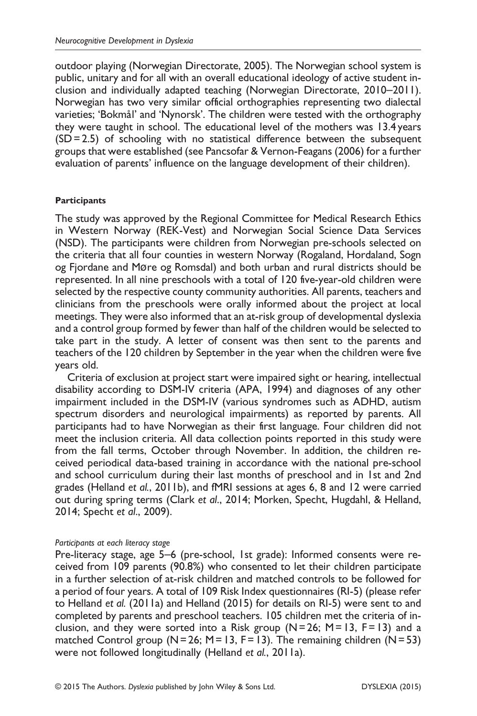outdoor playing (Norwegian Directorate, 2005). The Norwegian school system is public, unitary and for all with an overall educational ideology of active student inclusion and individually adapted teaching (Norwegian Directorate, 2010–2011). Norwegian has two very similar official orthographies representing two dialectal varieties; 'Bokmål' and 'Nynorsk'. The children were tested with the orthography they were taught in school. The educational level of the mothers was 13.4 years (SD = 2.5) of schooling with no statistical difference between the subsequent groups that were established (see Pancsofar & Vernon-Feagans (2006) for a further evaluation of parents' influence on the language development of their children).

### **Participants**

The study was approved by the Regional Committee for Medical Research Ethics in Western Norway (REK-Vest) and Norwegian Social Science Data Services (NSD). The participants were children from Norwegian pre-schools selected on the criteria that all four counties in western Norway (Rogaland, Hordaland, Sogn og Fjordane and Møre og Romsdal) and both urban and rural districts should be represented. In all nine preschools with a total of 120 five-year-old children were selected by the respective county community authorities. All parents, teachers and clinicians from the preschools were orally informed about the project at local meetings. They were also informed that an at-risk group of developmental dyslexia and a control group formed by fewer than half of the children would be selected to take part in the study. A letter of consent was then sent to the parents and teachers of the 120 children by September in the year when the children were five years old.

Criteria of exclusion at project start were impaired sight or hearing, intellectual disability according to DSM-IV criteria (APA, 1994) and diagnoses of any other impairment included in the DSM-IV (various syndromes such as ADHD, autism spectrum disorders and neurological impairments) as reported by parents. All participants had to have Norwegian as their first language. Four children did not meet the inclusion criteria. All data collection points reported in this study were from the fall terms, October through November. In addition, the children received periodical data-based training in accordance with the national pre-school and school curriculum during their last months of preschool and in 1st and 2nd grades (Helland et al., 2011b), and fMRI sessions at ages 6, 8 and 12 were carried out during spring terms (Clark et al., 2014; Morken, Specht, Hugdahl, & Helland, 2014; Specht et al., 2009).

#### Participants at each literacy stage

Pre-literacy stage, age 5–6 (pre-school, 1st grade): Informed consents were received from 109 parents (90.8%) who consented to let their children participate in a further selection of at-risk children and matched controls to be followed for a period of four years. A total of 109 Risk Index questionnaires (RI-5) (please refer to Helland et al. (2011a) and Helland (2015) for details on RI-5) were sent to and completed by parents and preschool teachers. 105 children met the criteria of inclusion, and they were sorted into a Risk group  $(N = 26; M = 13, F = 13)$  and a matched Control group ( $N = 26$ ;  $M = 13$ ,  $F = 13$ ). The remaining children ( $N = 53$ ) were not followed longitudinally (Helland et al., 2011a).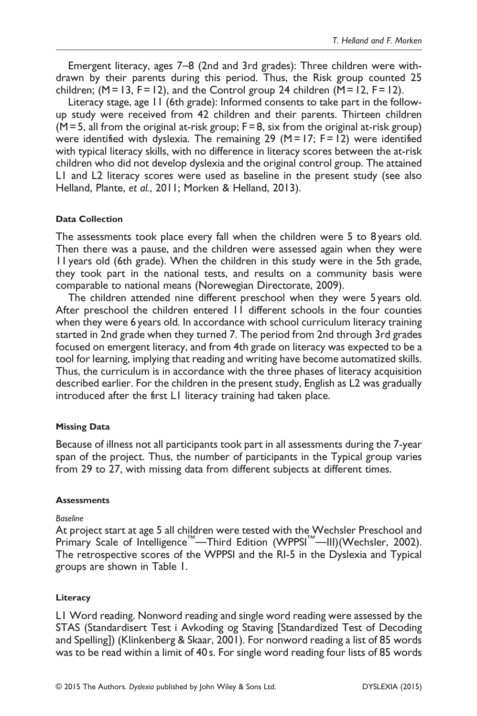Emergent literacy, ages 7–8 (2nd and 3rd grades): Three children were withdrawn by their parents during this period. Thus, the Risk group counted 25 children;  $(M = 13, F = 12)$ , and the Control group 24 children  $(M = 12, F = 12)$ .

Literacy stage, age 11 (6th grade): Informed consents to take part in the followup study were received from 42 children and their parents. Thirteen children  $(M = 5$ , all from the original at-risk group;  $F = 8$ , six from the original at-risk group) were identified with dyslexia. The remaining 29 (M = 17; F = 12) were identified with typical literacy skills, with no difference in literacy scores between the at-risk children who did not develop dyslexia and the original control group. The attained L1 and L2 literacy scores were used as baseline in the present study (see also Helland, Plante, et al., 2011; Morken & Helland, 2013).

### Data Collection

The assessments took place every fall when the children were 5 to 8 years old. Then there was a pause, and the children were assessed again when they were 11 years old (6th grade). When the children in this study were in the 5th grade, they took part in the national tests, and results on a community basis were comparable to national means (Norewegian Directorate, 2009).

The children attended nine different preschool when they were 5 years old. After preschool the children entered 11 different schools in the four counties when they were 6 years old. In accordance with school curriculum literacy training started in 2nd grade when they turned 7. The period from 2nd through 3rd grades focused on emergent literacy, and from 4th grade on literacy was expected to be a tool for learning, implying that reading and writing have become automatized skills. Thus, the curriculum is in accordance with the three phases of literacy acquisition described earlier. For the children in the present study, English as L2 was gradually introduced after the first L1 literacy training had taken place.

#### Missing Data

Because of illness not all participants took part in all assessments during the 7-year span of the project. Thus, the number of participants in the Typical group varies from 29 to 27, with missing data from different subjects at different times.

#### **Assessments**

#### Baseline

At project start at age 5 all children were tested with the Wechsler Preschool and Primary Scale of Intelligence™—Third Edition (WPPSI™—III)(Wechsler, 2002). The retrospective scores of the WPPSI and the RI-5 in the Dyslexia and Typical groups are shown in Table 1.

#### **Literacy**

L1 Word reading. Nonword reading and single word reading were assessed by the STAS (Standardisert Test i Avkoding og Staving [Standardized Test of Decoding and Spelling]) (Klinkenberg & Skaar, 2001). For nonword reading a list of 85 words was to be read within a limit of 40 s. For single word reading four lists of 85 words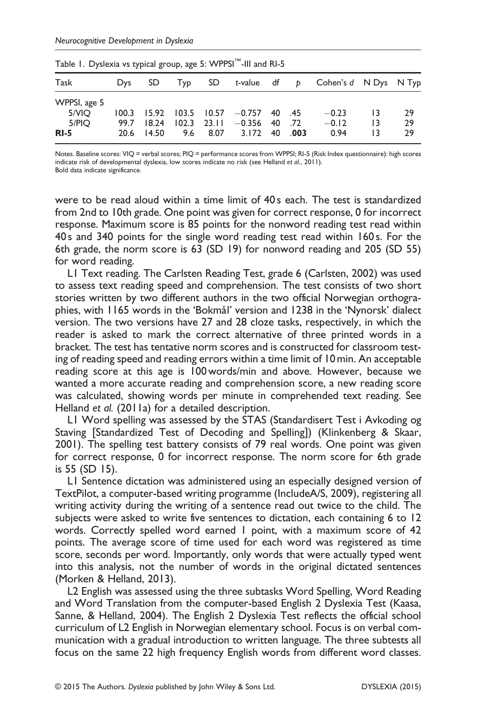| 1 able 1. Dyslexia vs typical group, age 5: WPPSI -III and RI-5 |        |            |  |  |                                                 |  |  |                                                        |     |    |
|-----------------------------------------------------------------|--------|------------|--|--|-------------------------------------------------|--|--|--------------------------------------------------------|-----|----|
| Task                                                            | Dys SD |            |  |  |                                                 |  |  | $Type$ SD <i>t</i> -value df $p$ Cohen's d N Dys N Typ |     |    |
| WPPSI, age 5                                                    |        |            |  |  |                                                 |  |  |                                                        |     |    |
| 5/VIO                                                           |        |            |  |  | $100.3$ $15.92$ $103.5$ $10.57$ $-0.757$ 40 .45 |  |  | $-0.23$                                                | -13 | 29 |
| 5/PIO                                                           |        | 99.7 18.24 |  |  | $102.3$ 23.11 $-0.356$ 40 .72                   |  |  | $-0.12$                                                | 13  | 29 |
| $RI-5$                                                          |        | 20.6 14.50 |  |  | 9.6 8.07 3.172 40 003                           |  |  | 0.94                                                   | 13. | 29 |

Table 1. Dyslexia vs typical group, age 5: WPPSI™-III and RI-5

Notes. Baseline scores: VIQ = verbal scores; PIQ = performance scores from WPPSI; RI-5 (Risk Index questionnaire): high scores indicate risk of developmental dyslexia, low scores indicate no risk (see Helland et al., 2011).

Bold data indicate significance.

were to be read aloud within a time limit of 40 s each. The test is standardized from 2nd to 10th grade. One point was given for correct response, 0 for incorrect response. Maximum score is 85 points for the nonword reading test read within 40 s and 340 points for the single word reading test read within 160s. For the 6th grade, the norm score is 63 (SD 19) for nonword reading and 205 (SD 55) for word reading.

L1 Text reading. The Carlsten Reading Test, grade 6 (Carlsten, 2002) was used to assess text reading speed and comprehension. The test consists of two short stories written by two different authors in the two official Norwegian orthographies, with 1165 words in the 'Bokmål' version and 1238 in the 'Nynorsk' dialect version. The two versions have 27 and 28 cloze tasks, respectively, in which the reader is asked to mark the correct alternative of three printed words in a bracket. The test has tentative norm scores and is constructed for classroom testing of reading speed and reading errors within a time limit of 10 min. An acceptable reading score at this age is 100 words/min and above. However, because we wanted a more accurate reading and comprehension score, a new reading score was calculated, showing words per minute in comprehended text reading. See Helland et al. (2011a) for a detailed description.

L1 Word spelling was assessed by the STAS (Standardisert Test i Avkoding og Staving [Standardized Test of Decoding and Spelling]) (Klinkenberg & Skaar, 2001). The spelling test battery consists of 79 real words. One point was given for correct response, 0 for incorrect response. The norm score for 6th grade is 55 (SD 15).

L1 Sentence dictation was administered using an especially designed version of TextPilot, a computer-based writing programme (IncludeA/S, 2009), registering all writing activity during the writing of a sentence read out twice to the child. The subjects were asked to write five sentences to dictation, each containing 6 to 12 words. Correctly spelled word earned I point, with a maximum score of 42 points. The average score of time used for each word was registered as time score, seconds per word. Importantly, only words that were actually typed went into this analysis, not the number of words in the original dictated sentences (Morken & Helland, 2013).

L2 English was assessed using the three subtasks Word Spelling, Word Reading and Word Translation from the computer-based English 2 Dyslexia Test (Kaasa, Sanne, & Helland, 2004). The English 2 Dyslexia Test reflects the official school curriculum of L2 English in Norwegian elementary school. Focus is on verbal communication with a gradual introduction to written language. The three subtests all focus on the same 22 high frequency English words from different word classes.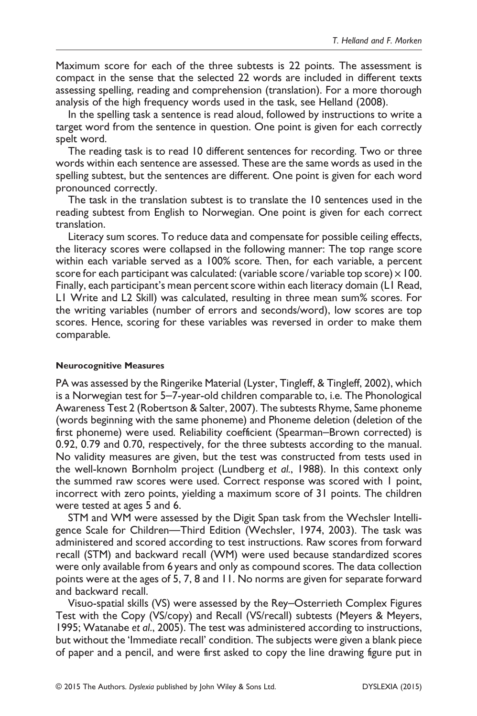Maximum score for each of the three subtests is 22 points. The assessment is compact in the sense that the selected 22 words are included in different texts assessing spelling, reading and comprehension (translation). For a more thorough analysis of the high frequency words used in the task, see Helland (2008).

In the spelling task a sentence is read aloud, followed by instructions to write a target word from the sentence in question. One point is given for each correctly spelt word.

The reading task is to read 10 different sentences for recording. Two or three words within each sentence are assessed. These are the same words as used in the spelling subtest, but the sentences are different. One point is given for each word pronounced correctly.

The task in the translation subtest is to translate the 10 sentences used in the reading subtest from English to Norwegian. One point is given for each correct translation.

Literacy sum scores. To reduce data and compensate for possible ceiling effects, the literacy scores were collapsed in the following manner: The top range score within each variable served as a 100% score. Then, for each variable, a percent score for each participant was calculated: (variable score/variable top score)  $\times$  100. Finally, each participant's mean percent score within each literacy domain (L1 Read, L1 Write and L2 Skill) was calculated, resulting in three mean sum% scores. For the writing variables (number of errors and seconds/word), low scores are top scores. Hence, scoring for these variables was reversed in order to make them comparable.

#### Neurocognitive Measures

PA was assessed by the Ringerike Material (Lyster, Tingleff, & Tingleff, 2002), which is a Norwegian test for 5–7-year-old children comparable to, i.e. The Phonological Awareness Test 2 (Robertson & Salter, 2007). The subtests Rhyme, Same phoneme (words beginning with the same phoneme) and Phoneme deletion (deletion of the first phoneme) were used. Reliability coefficient (Spearman–Brown corrected) is 0.92, 0.79 and 0.70, respectively, for the three subtests according to the manual. No validity measures are given, but the test was constructed from tests used in the well-known Bornholm project (Lundberg et al., 1988). In this context only the summed raw scores were used. Correct response was scored with 1 point, incorrect with zero points, yielding a maximum score of 31 points. The children were tested at ages 5 and 6.

STM and WM were assessed by the Digit Span task from the Wechsler Intelligence Scale for Children—Third Edition (Wechsler, 1974, 2003). The task was administered and scored according to test instructions. Raw scores from forward recall (STM) and backward recall (WM) were used because standardized scores were only available from 6 years and only as compound scores. The data collection points were at the ages of 5, 7, 8 and 11. No norms are given for separate forward and backward recall.

Visuo-spatial skills (VS) were assessed by the Rey–Osterrieth Complex Figures Test with the Copy (VS/copy) and Recall (VS/recall) subtests (Meyers & Meyers, 1995; Watanabe et al., 2005). The test was administered according to instructions, but without the 'Immediate recall' condition. The subjects were given a blank piece of paper and a pencil, and were first asked to copy the line drawing figure put in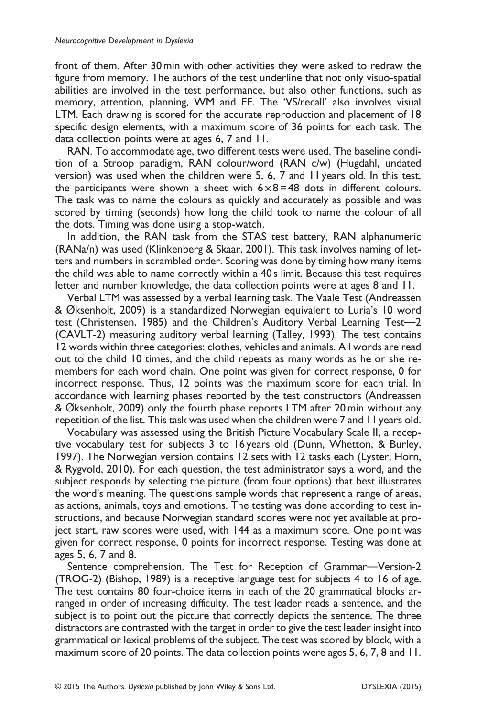front of them. After 30 min with other activities they were asked to redraw the figure from memory. The authors of the test underline that not only visuo-spatial abilities are involved in the test performance, but also other functions, such as memory, attention, planning, WM and EF. The 'VS/recall' also involves visual LTM. Each drawing is scored for the accurate reproduction and placement of 18 specific design elements, with a maximum score of 36 points for each task. The data collection points were at ages 6, 7 and 11.

RAN. To accommodate age, two different tests were used. The baseline condition of a Stroop paradigm, RAN colour/word (RAN c/w) (Hugdahl, undated version) was used when the children were 5, 6, 7 and 11 years old. In this test, the participants were shown a sheet with  $6 \times 8 = 48$  dots in different colours. The task was to name the colours as quickly and accurately as possible and was scored by timing (seconds) how long the child took to name the colour of all the dots. Timing was done using a stop-watch.

In addition, the RAN task from the STAS test battery, RAN alphanumeric (RANa/n) was used (Klinkenberg & Skaar, 2001). This task involves naming of letters and numbers in scrambled order. Scoring was done by timing how many items the child was able to name correctly within a 40 s limit. Because this test requires letter and number knowledge, the data collection points were at ages 8 and 11.

Verbal LTM was assessed by a verbal learning task. The Vaale Test (Andreassen & Øksenholt, 2009) is a standardized Norwegian equivalent to Luria's 10 word test (Christensen, 1985) and the Children's Auditory Verbal Learning Test—2 (CAVLT-2) measuring auditory verbal learning (Talley, 1993). The test contains 12 words within three categories: clothes, vehicles and animals. All words are read out to the child 10 times, and the child repeats as many words as he or she remembers for each word chain. One point was given for correct response, 0 for incorrect response. Thus, 12 points was the maximum score for each trial. In accordance with learning phases reported by the test constructors (Andreassen & Øksenholt, 2009) only the fourth phase reports LTM after 20 min without any repetition of the list. This task was used when the children were 7 and 11 years old.

Vocabulary was assessed using the British Picture Vocabulary Scale II, a receptive vocabulary test for subjects 3 to 16 years old (Dunn, Whetton, & Burley, 1997). The Norwegian version contains 12 sets with 12 tasks each (Lyster, Horn, & Rygvold, 2010). For each question, the test administrator says a word, and the subject responds by selecting the picture (from four options) that best illustrates the word's meaning. The questions sample words that represent a range of areas, as actions, animals, toys and emotions. The testing was done according to test instructions, and because Norwegian standard scores were not yet available at project start, raw scores were used, with 144 as a maximum score. One point was given for correct response, 0 points for incorrect response. Testing was done at ages 5, 6, 7 and 8.

Sentence comprehension. The Test for Reception of Grammar—Version-2 (TROG-2) (Bishop, 1989) is a receptive language test for subjects 4 to 16 of age. The test contains 80 four-choice items in each of the 20 grammatical blocks arranged in order of increasing difficulty. The test leader reads a sentence, and the subject is to point out the picture that correctly depicts the sentence. The three distractors are contrasted with the target in order to give the test leader insight into grammatical or lexical problems of the subject. The test was scored by block, with a maximum score of 20 points. The data collection points were ages 5, 6, 7, 8 and 11.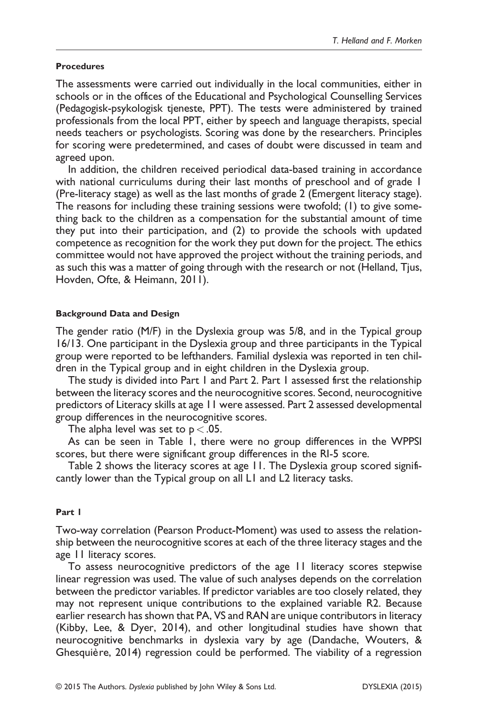#### **Procedures**

The assessments were carried out individually in the local communities, either in schools or in the offices of the Educational and Psychological Counselling Services (Pedagogisk-psykologisk tjeneste, PPT). The tests were administered by trained professionals from the local PPT, either by speech and language therapists, special needs teachers or psychologists. Scoring was done by the researchers. Principles for scoring were predetermined, and cases of doubt were discussed in team and agreed upon.

In addition, the children received periodical data-based training in accordance with national curriculums during their last months of preschool and of grade 1 (Pre-literacy stage) as well as the last months of grade 2 (Emergent literacy stage). The reasons for including these training sessions were twofold; (1) to give something back to the children as a compensation for the substantial amount of time they put into their participation, and (2) to provide the schools with updated competence as recognition for the work they put down for the project. The ethics committee would not have approved the project without the training periods, and as such this was a matter of going through with the research or not (Helland, Tjus, Hovden, Ofte, & Heimann, 2011).

#### Background Data and Design

The gender ratio (M/F) in the Dyslexia group was 5/8, and in the Typical group 16/13. One participant in the Dyslexia group and three participants in the Typical group were reported to be lefthanders. Familial dyslexia was reported in ten children in the Typical group and in eight children in the Dyslexia group.

The study is divided into Part 1 and Part 2. Part 1 assessed first the relationship between the literacy scores and the neurocognitive scores. Second, neurocognitive predictors of Literacy skills at age 11 were assessed. Part 2 assessed developmental group differences in the neurocognitive scores.

The alpha level was set to  $p < .05$ .

As can be seen in Table 1, there were no group differences in the WPPSI scores, but there were significant group differences in the RI-5 score.

Table 2 shows the literacy scores at age 11. The Dyslexia group scored significantly lower than the Typical group on all L1 and L2 literacy tasks.

#### Part 1

Two-way correlation (Pearson Product-Moment) was used to assess the relationship between the neurocognitive scores at each of the three literacy stages and the age 11 literacy scores.

To assess neurocognitive predictors of the age 11 literacy scores stepwise linear regression was used. The value of such analyses depends on the correlation between the predictor variables. If predictor variables are too closely related, they may not represent unique contributions to the explained variable R2. Because earlier research has shown that PA, VS and RAN are unique contributors in literacy (Kibby, Lee, & Dyer, 2014), and other longitudinal studies have shown that neurocognitive benchmarks in dyslexia vary by age (Dandache, Wouters, & Ghesquière, 2014) regression could be performed. The viability of a regression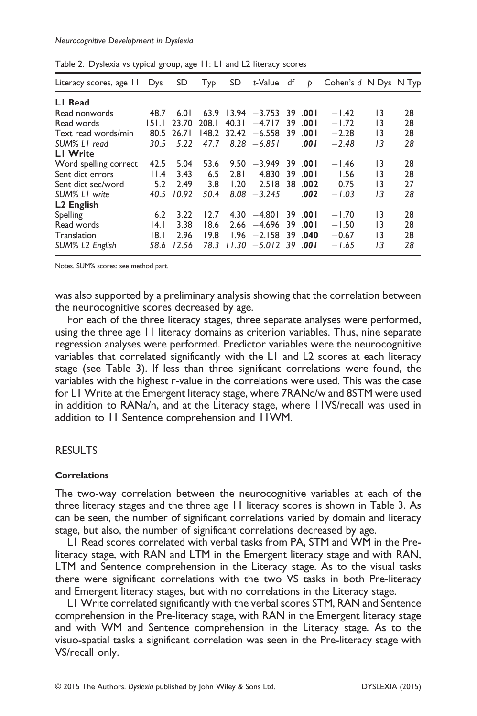#### Neurocognitive Development in Dyslexia

| Literacy scores, age 11 | Dys    | SD         | <b>Typ</b> | SD          | t-Value                         | df  | Þ    | Cohen's d N Dys N Typ |                 |    |
|-------------------------|--------|------------|------------|-------------|---------------------------------|-----|------|-----------------------|-----------------|----|
| LI Read                 |        |            |            |             |                                 |     |      |                       |                 |    |
| Read nonwords           | 48.7   | 6.01       |            |             | $63.9$ $13.94$ $-3.753$ 39 .001 |     |      | $-1.42$               | 13              | 28 |
| Read words              | 15 I.I | 23.70      | 208.I      | 40.31       | $-4.717$                        | 39. | .001 | $-1.72$               | 13              | 28 |
| Text read words/min     |        | 80.5 26.71 |            | 148.2 32.42 | $-6.558$                        | 39  | .001 | $-2.28$               | 13              | 28 |
| SUM% L1 read            | 30.5   | 5.22       | 47.7       |             | $8.28 - 6.851$                  |     | .001 | $-2.48$               | 13              | 28 |
| LI Write                |        |            |            |             |                                 |     |      |                       |                 |    |
| Word spelling correct   | 42.5   | 5.04       | 53.6       | 9.50        | $-3.949$                        | 39  | .001 | $-1.46$               | 13              | 28 |
| Sent dict errors        | 11.4   | 3.43       | 6.5        | 2.81        | 4.830                           | 39  | .001 | 1.56                  | $\overline{13}$ | 28 |
| Sent dict sec/word      | 5.2    | 2.49       | 3.8        | 1.20        | 2.518                           | 38  | .002 | 0.75                  | $\overline{13}$ | 27 |
| SUM% L1 write           | 40.5   | 10.92      | 50.4       |             | $8.08 - 3.245$                  |     | .002 | -1.03                 | 13              | 28 |
| L <sub>2</sub> English  |        |            |            |             |                                 |     |      |                       |                 |    |
| Spelling                | 6.2    | 3.22       | 12.7       | 4.30        | $-4.801$                        | 39  | .001 | $-1.70$               | 13              | 28 |
| Read words              | 14. I  | 3.38       | 18.6       | 2.66        | $-4.696$                        | 39  | .001 | $-1.50$               | $\overline{13}$ | 28 |
| Translation             | 18. I  | 2.96       | 19.8       | 1.96        | $-2.158$                        | 39  | .040 | $-0.67$               | $\overline{13}$ | 28 |
| SUM% L2 English         | 58.6   | 12.56      | 78.3       |             | $11.30 - 5.012$ 39.001          |     |      | $-1.65$               | 13              | 28 |

|  |  |  | Table 2. Dyslexia vs typical group, age 11: L1 and L2 literacy scores |  |  |  |  |
|--|--|--|-----------------------------------------------------------------------|--|--|--|--|
|--|--|--|-----------------------------------------------------------------------|--|--|--|--|

Notes. SUM% scores: see method part.

was also supported by a preliminary analysis showing that the correlation between the neurocognitive scores decreased by age.

For each of the three literacy stages, three separate analyses were performed, using the three age 11 literacy domains as criterion variables. Thus, nine separate regression analyses were performed. Predictor variables were the neurocognitive variables that correlated significantly with the L1 and L2 scores at each literacy stage (see Table 3). If less than three significant correlations were found, the variables with the highest r-value in the correlations were used. This was the case for L1 Write at the Emergent literacy stage, where 7RANc/w and 8STM were used in addition to RANa/n, and at the Literacy stage, where 11VS/recall was used in addition to 11 Sentence comprehension and 11WM.

#### RESULTS

#### **Correlations**

The two-way correlation between the neurocognitive variables at each of the three literacy stages and the three age 11 literacy scores is shown in Table 3. As can be seen, the number of significant correlations varied by domain and literacy stage, but also, the number of significant correlations decreased by age.

L1 Read scores correlated with verbal tasks from PA, STM and WM in the Preliteracy stage, with RAN and LTM in the Emergent literacy stage and with RAN, LTM and Sentence comprehension in the Literacy stage. As to the visual tasks there were significant correlations with the two VS tasks in both Pre-literacy and Emergent literacy stages, but with no correlations in the Literacy stage.

L1 Write correlated significantly with the verbal scores STM, RAN and Sentence comprehension in the Pre-literacy stage, with RAN in the Emergent literacy stage and with WM and Sentence comprehension in the Literacy stage. As to the visuo-spatial tasks a significant correlation was seen in the Pre-literacy stage with VS/recall only.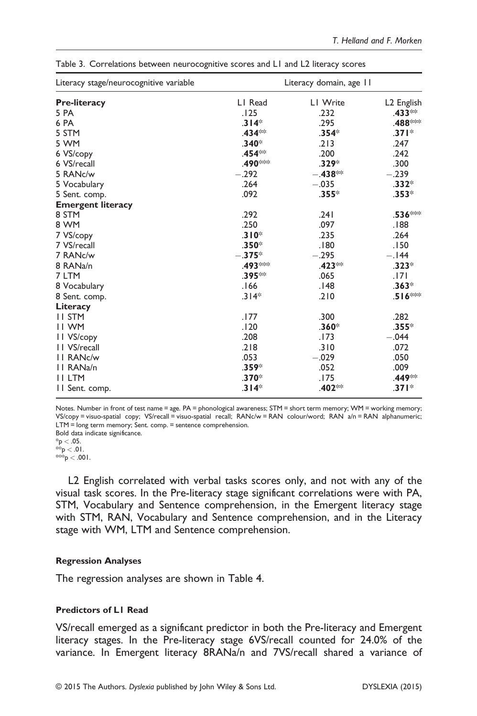| Literacy stage/neurocognitive variable |                     | Literacy domain, age 11 |                        |  |  |
|----------------------------------------|---------------------|-------------------------|------------------------|--|--|
| <b>Pre-literacy</b>                    | LI Read             | LI Write                | L <sub>2</sub> English |  |  |
| 5 PA                                   | .125                | .232                    | .433%                  |  |  |
| 6 PA                                   | $.314*$             | .295                    | .488                   |  |  |
| 5 STM                                  | $.434***$           | $.354*$                 | $.371*$                |  |  |
| 5 WM                                   | $.340*$             | .213                    | .247                   |  |  |
| 6 VS/copy                              | .454**              | .200                    | .242                   |  |  |
| 6 VS/recall                            | .490 <sup>***</sup> | $.329*$                 | .300                   |  |  |
| 5 RANc/w                               | $-.292$             | $-.438**$               | $-.239$                |  |  |
| 5 Vocabulary                           | .264                | $-.035$                 | $.332*$                |  |  |
| 5 Sent. comp.                          | .092                | $.355*$                 | $.353*$                |  |  |
| <b>Emergent literacy</b>               |                     |                         |                        |  |  |
| 8 STM                                  | .292                | .241                    | .536 <sup>****</sup>   |  |  |
| 8 WM                                   | .250                | .097                    | .188                   |  |  |
| 7 VS/copy                              | $.310*$             | .235                    | .264                   |  |  |
| 7 VS/recall                            | .350*               | .180                    | .150                   |  |  |
| 7 RANc/w                               | $-.375*$            | $-.295$                 | $-.144$                |  |  |
| 8 RANa/n                               | .493 ***            | $.423***$               | $.323*$                |  |  |
| 7 LTM                                  | .395**              | .065                    | .171                   |  |  |
| 8 Vocabulary                           | .166                | .148                    | $.363*$                |  |  |
| 8 Sent. comp.                          | $.314*$             | .210                    | $.516$ <sup>***</sup>  |  |  |
| Literacy                               |                     |                         |                        |  |  |
| <b>II STM</b>                          | .177                | .300                    | .282                   |  |  |
| <b>II WM</b>                           | .120                | $.360*$                 | $.355*$                |  |  |
| II VS/copy                             | .208                | .173                    | $-.044$                |  |  |
| II VS/recall                           | .218                | .310                    | .072                   |  |  |
| <b>II RANc/w</b>                       | .053                | $-.029$                 | .050                   |  |  |
| II RANa/n                              | .359*               | .052                    | .009                   |  |  |
| <b>II LTM</b>                          | $.370*$             | .175                    | .449 <sup>*</sup>      |  |  |
| II Sent. comp.                         | $.314*$             | .402**                  | $.371*$                |  |  |

Table 3. Correlations between neurocognitive scores and L1 and L2 literacy scores

Notes. Number in front of test name = age. PA = phonological awareness; STM = short term memory; WM = working memory; VS/copy = visuo-spatial copy; VS/recall = visuo-spatial recall; RANc/w = RAN colour/word; RAN a/n = RAN alphanumeric; LTM = long term memory; Sent. comp. = sentence comprehension. Bold data indicate significance.

 $*_{p}$  < .05.

# \*\*p < .01. \*\*\*p < .001.

L2 English correlated with verbal tasks scores only, and not with any of the visual task scores. In the Pre-literacy stage significant correlations were with PA, STM, Vocabulary and Sentence comprehension, in the Emergent literacy stage with STM, RAN, Vocabulary and Sentence comprehension, and in the Literacy stage with WM, LTM and Sentence comprehension.

#### Regression Analyses

The regression analyses are shown in Table 4.

#### Predictors of L1 Read

VS/recall emerged as a significant predictor in both the Pre-literacy and Emergent literacy stages. In the Pre-literacy stage 6VS/recall counted for 24.0% of the variance. In Emergent literacy 8RANa/n and 7VS/recall shared a variance of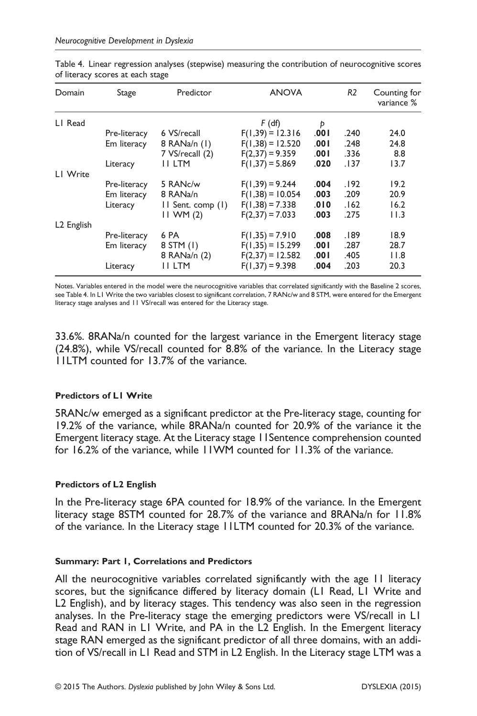| Domain                 | Stage        | Predictor                    | <b>ANOVA</b>       |      | R <sub>2</sub> | Counting for<br>variance % |
|------------------------|--------------|------------------------------|--------------------|------|----------------|----------------------------|
| LI Read                |              |                              | $F$ (df)           | Þ    |                |                            |
|                        | Pre-literacy | 6 VS/recall                  | $F(1,39) = 12.316$ | .001 | .240           | 24.0                       |
|                        | Em literacy  | 8 RANa/n (1)                 | $F(1,38) = 12.520$ | .001 | .248           | 24.8                       |
|                        |              | 7 VS/recall (2)              | $F(2,37) = 9.359$  | .001 | .336           | 8.8                        |
|                        | Literacy     | <b>II LTM</b>                | $F(1,37) = 5.869$  | .020 | .137           | 13.7                       |
| LI Write               |              |                              |                    |      |                |                            |
|                        | Pre-literacy | 5 RANc/w                     | $F(1,39) = 9.244$  | .004 | .192           | 19.2                       |
|                        | Em literacy  | 8 RANa/n                     | $F(1,38) = 10.054$ | .003 | .209           | 20.9                       |
|                        | Literacy     | $\vert$ Sent. comp $\vert$ ) | $F(1,38) = 7.338$  | .010 | .162           | 16.2                       |
|                        |              | $II$ WM $(2)$                | $F(2,37) = 7.033$  | .003 | .275           | 11.3                       |
| L <sub>2</sub> English |              |                              |                    |      |                |                            |
|                        | Pre-literacy | 6 PA                         | $F(1,35) = 7.910$  | .008 | .189           | 18.9                       |
|                        | Em literacy  | 8 STM (1)                    | $F(1,35) = 15.299$ | .001 | .287           | 28.7                       |
|                        |              | 8 RANa/n (2)                 | $F(2,37) = 12.582$ | .001 | .405           | 11.8                       |
|                        | Literacy     | <b>IILTM</b>                 | $F(1,37) = 9.398$  | .004 | .203           | 20.3                       |

Table 4. Linear regression analyses (stepwise) measuring the contribution of neurocognitive scores of literacy scores at each stage

Notes. Variables entered in the model were the neurocognitive variables that correlated significantly with the Baseline 2 scores, see Table 4. In L1 Write the two variables closest to significant correlation, 7 RANc/w and 8 STM, were entered for the Emergent literacy stage analyses and 11 VS/recall was entered for the Literacy stage.

33.6%. 8RANa/n counted for the largest variance in the Emergent literacy stage (24.8%), while VS/recall counted for 8.8% of the variance. In the Literacy stage 11LTM counted for 13.7% of the variance.

#### Predictors of L1 Write

5RANc/w emerged as a significant predictor at the Pre-literacy stage, counting for 19.2% of the variance, while 8RANa/n counted for 20.9% of the variance it the Emergent literacy stage. At the Literacy stage 11Sentence comprehension counted for 16.2% of the variance, while 11WM counted for 11.3% of the variance.

#### Predictors of L2 English

In the Pre-literacy stage 6PA counted for 18.9% of the variance. In the Emergent literacy stage 8STM counted for 28.7% of the variance and 8RANa/n for 11.8% of the variance. In the Literacy stage 11LTM counted for 20.3% of the variance.

#### Summary: Part 1, Correlations and Predictors

All the neurocognitive variables correlated significantly with the age 11 literacy scores, but the significance differed by literacy domain (L1 Read, L1 Write and L2 English), and by literacy stages. This tendency was also seen in the regression analyses. In the Pre-literacy stage the emerging predictors were VS/recall in L1 Read and RAN in L1 Write, and PA in the L2 English. In the Emergent literacy stage RAN emerged as the significant predictor of all three domains, with an addition of VS/recall in L1 Read and STM in L2 English. In the Literacy stage LTM was a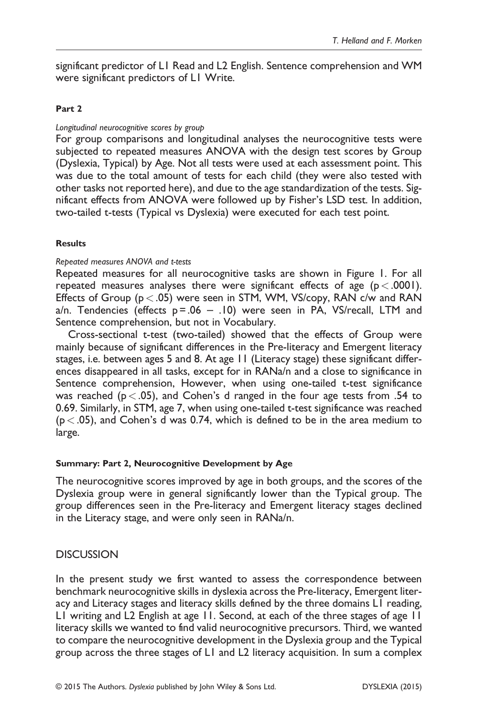significant predictor of L1 Read and L2 English. Sentence comprehension and WM were significant predictors of L1 Write.

## Part 2

### Longitudinal neurocognitive scores by group

For group comparisons and longitudinal analyses the neurocognitive tests were subjected to repeated measures ANOVA with the design test scores by Group (Dyslexia, Typical) by Age. Not all tests were used at each assessment point. This was due to the total amount of tests for each child (they were also tested with other tasks not reported here), and due to the age standardization of the tests. Significant effects from ANOVA were followed up by Fisher's LSD test. In addition, two-tailed t-tests (Typical vs Dyslexia) were executed for each test point.

### **Results**

### Repeated measures ANOVA and t-tests

Repeated measures for all neurocognitive tasks are shown in Figure 1. For all repeated measures analyses there were significant effects of age  $(p < .0001)$ . Effects of Group  $(p < .05)$  were seen in STM, WM, VS/copy, RAN c/w and RAN  $a/n$ . Tendencies (effects  $p = .06 - .10$ ) were seen in PA, VS/recall, LTM and Sentence comprehension, but not in Vocabulary.

Cross-sectional t-test (two-tailed) showed that the effects of Group were mainly because of significant differences in the Pre-literacy and Emergent literacy stages, i.e. between ages 5 and 8. At age 11 (Literacy stage) these significant differences disappeared in all tasks, except for in RANa/n and a close to significance in Sentence comprehension, However, when using one-tailed t-test significance was reached ( $p < .05$ ), and Cohen's d ranged in the four age tests from .54 to 0.69. Similarly, in STM, age 7, when using one-tailed t-test significance was reached  $(p < .05)$ , and Cohen's d was 0.74, which is defined to be in the area medium to large.

#### Summary: Part 2, Neurocognitive Development by Age

The neurocognitive scores improved by age in both groups, and the scores of the Dyslexia group were in general significantly lower than the Typical group. The group differences seen in the Pre-literacy and Emergent literacy stages declined in the Literacy stage, and were only seen in RANa/n.

# **DISCUSSION**

In the present study we first wanted to assess the correspondence between benchmark neurocognitive skills in dyslexia across the Pre-literacy, Emergent literacy and Literacy stages and literacy skills defined by the three domains L1 reading, L1 writing and L2 English at age 11. Second, at each of the three stages of age 11 literacy skills we wanted to find valid neurocognitive precursors. Third, we wanted to compare the neurocognitive development in the Dyslexia group and the Typical group across the three stages of L1 and L2 literacy acquisition. In sum a complex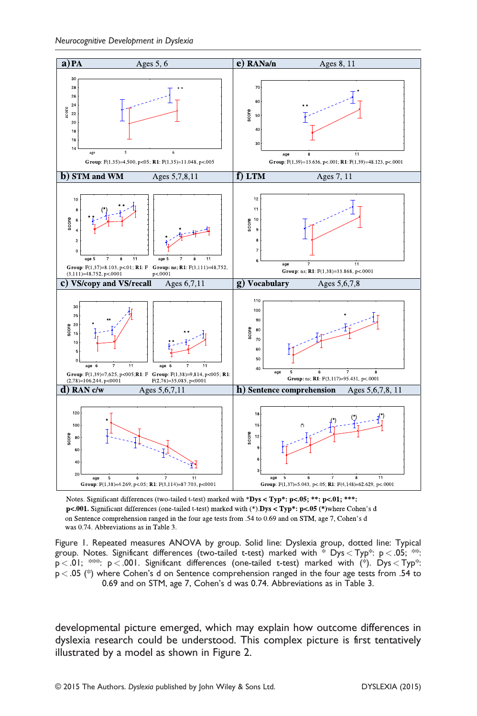

Notes. Significant differences (two-tailed t-test) marked with \*Dys < Typ\*: p<.05; \*\*: p<.01; \*\*\*:  $p$ <.001. Significant differences (one-tailed t-test) marked with (\*). Dys < Typ\*:  $p$ <.05 (\*)where Cohen's d on Sentence comprehension ranged in the four age tests from .54 to 0.69 and on STM, age 7, Cohen's d was 0.74. Abbreviations as in Table 3.

Figure 1. Repeated measures ANOVA by group. Solid line: Dyslexia group, dotted line: Typical group. Notes. Significant differences (two-tailed t-test) marked with \* Dys < Typ\*: p < .05; \*\*:  $p < .01$ ; \*\*\*:  $p < .001$ . Significant differences (one-tailed t-test) marked with (\*). Dys < Typ\*: p < .05 (\*) where Cohen's d on Sentence comprehension ranged in the four age tests from .54 to 0.69 and on STM, age 7, Cohen's d was 0.74. Abbreviations as in Table 3.

developmental picture emerged, which may explain how outcome differences in dyslexia research could be understood. This complex picture is first tentatively illustrated by a model as shown in Figure 2.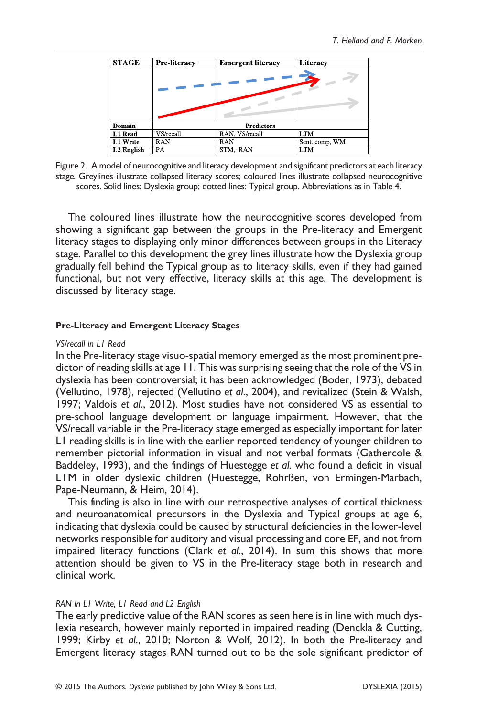| <b>STAGE</b>           | Pre-literacy | <b>Emergent literacy</b> | Literacy       |  |  |
|------------------------|--------------|--------------------------|----------------|--|--|
|                        |              |                          |                |  |  |
| Domain                 |              | <b>Predictors</b>        |                |  |  |
| L1 Read                | VS/recall    | RAN, VS/recall           | <b>LTM</b>     |  |  |
| L1 Write               | <b>RAN</b>   | <b>RAN</b>               | Sent. comp, WM |  |  |
| L <sub>2</sub> English | PA           | STM. RAN                 | <b>LTM</b>     |  |  |

Figure 2. A model of neurocognitive and literacy development and significant predictors at each literacy stage. Greylines illustrate collapsed literacy scores; coloured lines illustrate collapsed neurocognitive scores. Solid lines: Dyslexia group; dotted lines: Typical group. Abbreviations as in Table 4.

The coloured lines illustrate how the neurocognitive scores developed from showing a significant gap between the groups in the Pre-literacy and Emergent literacy stages to displaying only minor differences between groups in the Literacy stage. Parallel to this development the grey lines illustrate how the Dyslexia group gradually fell behind the Typical group as to literacy skills, even if they had gained functional, but not very effective, literacy skills at this age. The development is discussed by literacy stage.

#### Pre-Literacy and Emergent Literacy Stages

#### VS/recall in L1 Read

In the Pre-literacy stage visuo-spatial memory emerged as the most prominent predictor of reading skills at age 11. This was surprising seeing that the role of the VS in dyslexia has been controversial; it has been acknowledged (Boder, 1973), debated (Vellutino, 1978), rejected (Vellutino et al., 2004), and revitalized (Stein & Walsh, 1997; Valdois et al., 2012). Most studies have not considered VS as essential to pre-school language development or language impairment. However, that the VS/recall variable in the Pre-literacy stage emerged as especially important for later L1 reading skills is in line with the earlier reported tendency of younger children to remember pictorial information in visual and not verbal formats (Gathercole & Baddeley, 1993), and the findings of Huestegge et al. who found a deficit in visual LTM in older dyslexic children (Huestegge, Rohrßen, von Ermingen-Marbach, Pape-Neumann, & Heim, 2014).

This finding is also in line with our retrospective analyses of cortical thickness and neuroanatomical precursors in the Dyslexia and Typical groups at age 6, indicating that dyslexia could be caused by structural deficiencies in the lower-level networks responsible for auditory and visual processing and core EF, and not from impaired literacy functions (Clark et al., 2014). In sum this shows that more attention should be given to VS in the Pre-literacy stage both in research and clinical work.

#### RAN in L1 Write, L1 Read and L2 English

The early predictive value of the RAN scores as seen here is in line with much dyslexia research, however mainly reported in impaired reading (Denckla & Cutting, 1999; Kirby et al., 2010; Norton & Wolf, 2012). In both the Pre-literacy and Emergent literacy stages RAN turned out to be the sole significant predictor of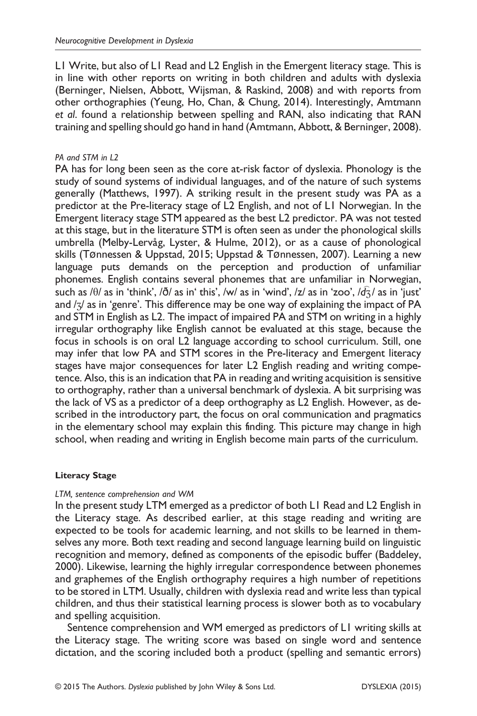L1 Write, but also of L1 Read and L2 English in the Emergent literacy stage. This is in line with other reports on writing in both children and adults with dyslexia (Berninger, Nielsen, Abbott, Wijsman, & Raskind, 2008) and with reports from other orthographies (Yeung, Ho, Chan, & Chung, 2014). Interestingly, Amtmann et al. found a relationship between spelling and RAN, also indicating that RAN training and spelling should go hand in hand (Amtmann, Abbott, & Berninger, 2008).

### PA and STM in L2

PA has for long been seen as the core at-risk factor of dyslexia. Phonology is the study of sound systems of individual languages, and of the nature of such systems generally (Matthews, 1997). A striking result in the present study was PA as a predictor at the Pre-literacy stage of L2 English, and not of L1 Norwegian. In the Emergent literacy stage STM appeared as the best L2 predictor. PA was not tested at this stage, but in the literature STM is often seen as under the phonological skills umbrella (Melby-Lervåg, Lyster, & Hulme, 2012), or as a cause of phonological skills (Tønnessen & Uppstad, 2015; Uppstad & Tønnessen, 2007). Learning a new language puts demands on the perception and production of unfamiliar phonemes. English contains several phonemes that are unfamiliar in Norwegian, such as / $\theta$ / as in 'think', / $\delta$ / as in 'this', /w/ as in 'wind', /z/ as in 'zoo', / $\frac{1}{3}$ / as in 'just' and  $\frac{1}{3}$  as in 'genre'. This difference may be one way of explaining the impact of PA and STM in English as L2. The impact of impaired PA and STM on writing in a highly irregular orthography like English cannot be evaluated at this stage, because the focus in schools is on oral L2 language according to school curriculum. Still, one may infer that low PA and STM scores in the Pre-literacy and Emergent literacy stages have major consequences for later L2 English reading and writing competence. Also, this is an indication that PA in reading and writing acquisition is sensitive to orthography, rather than a universal benchmark of dyslexia. A bit surprising was the lack of VS as a predictor of a deep orthography as L2 English. However, as described in the introductory part, the focus on oral communication and pragmatics in the elementary school may explain this finding. This picture may change in high school, when reading and writing in English become main parts of the curriculum.

#### Literacy Stage

#### LTM, sentence comprehension and WM

In the present study LTM emerged as a predictor of both L1 Read and L2 English in the Literacy stage. As described earlier, at this stage reading and writing are expected to be tools for academic learning, and not skills to be learned in themselves any more. Both text reading and second language learning build on linguistic recognition and memory, defined as components of the episodic buffer (Baddeley, 2000). Likewise, learning the highly irregular correspondence between phonemes and graphemes of the English orthography requires a high number of repetitions to be stored in LTM. Usually, children with dyslexia read and write less than typical children, and thus their statistical learning process is slower both as to vocabulary and spelling acquisition.

Sentence comprehension and WM emerged as predictors of L1 writing skills at the Literacy stage. The writing score was based on single word and sentence dictation, and the scoring included both a product (spelling and semantic errors)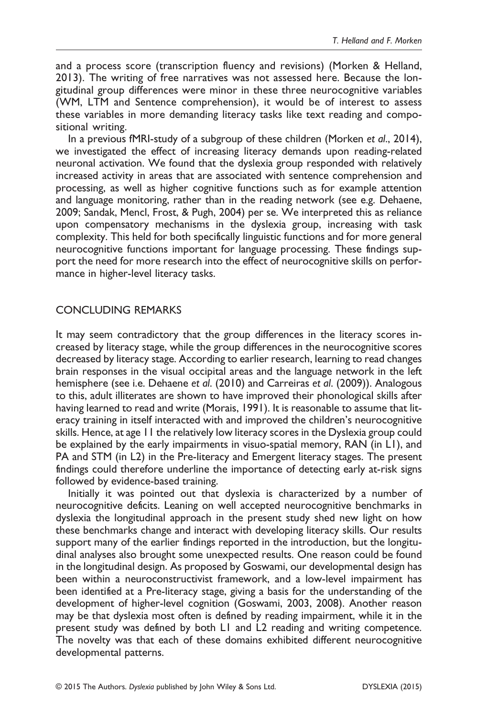and a process score (transcription fluency and revisions) (Morken & Helland, 2013). The writing of free narratives was not assessed here. Because the longitudinal group differences were minor in these three neurocognitive variables (WM, LTM and Sentence comprehension), it would be of interest to assess these variables in more demanding literacy tasks like text reading and compositional writing.

In a previous fMRI-study of a subgroup of these children (Morken et al., 2014), we investigated the effect of increasing literacy demands upon reading-related neuronal activation. We found that the dyslexia group responded with relatively increased activity in areas that are associated with sentence comprehension and processing, as well as higher cognitive functions such as for example attention and language monitoring, rather than in the reading network (see e.g. Dehaene, 2009; Sandak, Mencl, Frost, & Pugh, 2004) per se. We interpreted this as reliance upon compensatory mechanisms in the dyslexia group, increasing with task complexity. This held for both specifically linguistic functions and for more general neurocognitive functions important for language processing. These findings support the need for more research into the effect of neurocognitive skills on performance in higher-level literacy tasks.

# CONCLUDING REMARKS

It may seem contradictory that the group differences in the literacy scores increased by literacy stage, while the group differences in the neurocognitive scores decreased by literacy stage. According to earlier research, learning to read changes brain responses in the visual occipital areas and the language network in the left hemisphere (see i.e. Dehaene et al. (2010) and Carreiras et al. (2009)). Analogous to this, adult illiterates are shown to have improved their phonological skills after having learned to read and write (Morais, 1991). It is reasonable to assume that literacy training in itself interacted with and improved the children's neurocognitive skills. Hence, at age 11 the relatively low literacy scores in the Dyslexia group could be explained by the early impairments in visuo-spatial memory, RAN (in L1), and PA and STM (in L2) in the Pre-literacy and Emergent literacy stages. The present findings could therefore underline the importance of detecting early at-risk signs followed by evidence-based training.

Initially it was pointed out that dyslexia is characterized by a number of neurocognitive deficits. Leaning on well accepted neurocognitive benchmarks in dyslexia the longitudinal approach in the present study shed new light on how these benchmarks change and interact with developing literacy skills. Our results support many of the earlier findings reported in the introduction, but the longitudinal analyses also brought some unexpected results. One reason could be found in the longitudinal design. As proposed by Goswami, our developmental design has been within a neuroconstructivist framework, and a low-level impairment has been identified at a Pre-literacy stage, giving a basis for the understanding of the development of higher-level cognition (Goswami, 2003, 2008). Another reason may be that dyslexia most often is defined by reading impairment, while it in the present study was defined by both L1 and L2 reading and writing competence. The novelty was that each of these domains exhibited different neurocognitive developmental patterns.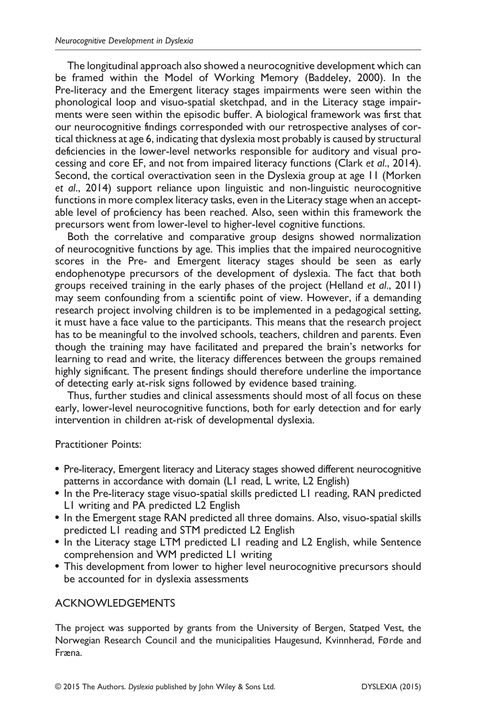The longitudinal approach also showed a neurocognitive development which can be framed within the Model of Working Memory (Baddeley, 2000). In the Pre-literacy and the Emergent literacy stages impairments were seen within the phonological loop and visuo-spatial sketchpad, and in the Literacy stage impairments were seen within the episodic buffer. A biological framework was first that our neurocognitive findings corresponded with our retrospective analyses of cortical thickness at age 6, indicating that dyslexia most probably is caused by structural deficiencies in the lower-level networks responsible for auditory and visual processing and core EF, and not from impaired literacy functions (Clark et al., 2014). Second, the cortical overactivation seen in the Dyslexia group at age 11 (Morken et al., 2014) support reliance upon linguistic and non-linguistic neurocognitive functions in more complex literacy tasks, even in the Literacy stage when an acceptable level of proficiency has been reached. Also, seen within this framework the precursors went from lower-level to higher-level cognitive functions.

Both the correlative and comparative group designs showed normalization of neurocognitive functions by age. This implies that the impaired neurocognitive scores in the Pre- and Emergent literacy stages should be seen as early endophenotype precursors of the development of dyslexia. The fact that both groups received training in the early phases of the project (Helland et al., 2011) may seem confounding from a scientific point of view. However, if a demanding research project involving children is to be implemented in a pedagogical setting, it must have a face value to the participants. This means that the research project has to be meaningful to the involved schools, teachers, children and parents. Even though the training may have facilitated and prepared the brain's networks for learning to read and write, the literacy differences between the groups remained highly significant. The present findings should therefore underline the importance of detecting early at-risk signs followed by evidence based training.

Thus, further studies and clinical assessments should most of all focus on these early, lower-level neurocognitive functions, both for early detection and for early intervention in children at-risk of developmental dyslexia.

Practitioner Points:

- Pre-literacy, Emergent literacy and Literacy stages showed different neurocognitive patterns in accordance with domain (L1 read, L write, L2 English)
- In the Pre-literacy stage visuo-spatial skills predicted L1 reading, RAN predicted L1 writing and PA predicted L2 English
- In the Emergent stage RAN predicted all three domains. Also, visuo-spatial skills predicted L1 reading and STM predicted L2 English
- In the Literacy stage LTM predicted L1 reading and L2 English, while Sentence comprehension and WM predicted L1 writing
- This development from lower to higher level neurocognitive precursors should be accounted for in dyslexia assessments

# ACKNOWLEDGEMENTS

The project was supported by grants from the University of Bergen, Statped Vest, the Norwegian Research Council and the municipalities Haugesund, Kvinnherad, Førde and Fræna.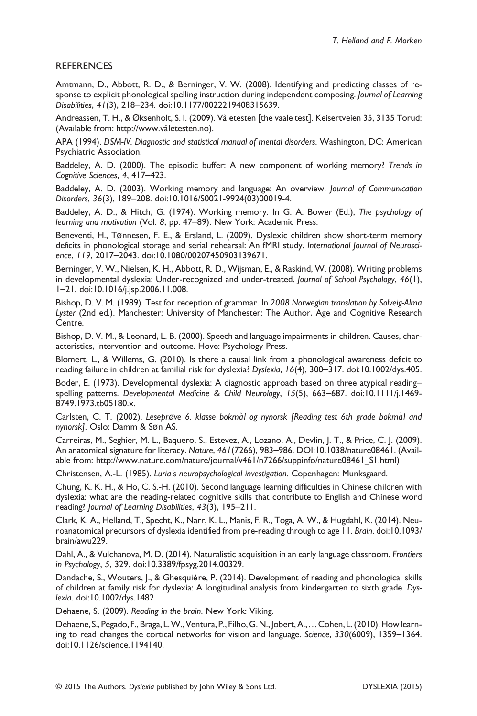#### **REFERENCES**

Amtmann, D., Abbott, R. D., & Berninger, V. W. (2008). Identifying and predicting classes of response to explicit phonological spelling instruction during independent composing. Journal of Learning Disabilities, 41(3), 218–234. doi:10.1177/0022219408315639.

Andreassen, T. H., & Øksenholt, S. I. (2009). Våletesten [the vaale test]. Keisertveien 35, 3135 Torud: (Available from: [http://www.våletesten.no\)](http://www.våletesten.no).

APA (1994). DSM-IV. Diagnostic and statistical manual of mental disorders. Washington, DC: American Psychiatric Association.

Baddeley, A. D. (2000). The episodic buffer: A new component of working memory? Trends in Cognitive Sciences, 4, 417–423.

Baddeley, A. D. (2003). Working memory and language: An overview. Journal of Communication Disorders, 36(3), 189–208. doi:10.1016/S0021-9924(03)00019-4.

Baddeley, A. D., & Hitch, G. (1974). Working memory. In G. A. Bower (Ed.), The psychology of learning and motivation (Vol. 8, pp. 47–89). New York: Academic Press.

Beneventi, H., Tønnesen, F. E., & Ersland, L. (2009). Dyslexic children show short-term memory deficits in phonological storage and serial rehearsal: An fMRI study. International Journal of Neuroscience, 119, 2017–2043. doi:10.1080/00207450903139671.

Berninger, V. W., Nielsen, K. H., Abbott, R. D., Wijsman, E., & Raskind, W. (2008). Writing problems in developmental dyslexia: Under-recognized and under-treated. Journal of School Psychology, 46(1), 1–21. doi:10.1016/j.jsp.2006.11.008.

Bishop, D. V. M. (1989). Test for reception of grammar. In 2008 Norwegian translation by Solveig-Alma Lyster (2nd ed.). Manchester: University of Manchester: The Author, Age and Cognitive Research Centre.

Bishop, D. V. M., & Leonard, L. B. (2000). Speech and language impairments in children. Causes, characteristics, intervention and outcome. Hove: Psychology Press.

Blomert, L., & Willems, G. (2010). Is there a causal link from a phonological awareness deficit to reading failure in children at familial risk for dyslexia? Dyslexia, 16(4), 300–317. doi:10.1002/dys.405.

Boder, E. (1973). Developmental dyslexia: A diagnostic approach based on three atypical reading– spelling patterns. Developmental Medicine & Child Neurology, 15(5), 663–687. doi:10.1111/j.1469- 8749.1973.tb05180.x.

Carlsten, C. T. (2002). Leseprøve 6. klasse bokmål og nynorsk [Reading test 6th grade bokmål and nynorsk]. Oslo: Damm & Søn AS.

Carreiras, M., Seghier, M. L., Baquero, S., Estevez, A., Lozano, A., Devlin, J. T., & Price, C. J. (2009). An anatomical signature for literacy. Nature, 461(7266), 983–986. DOI:10.1038/nature08461. (Available from: [http://www.nature.com/nature/journal/v461/n7266/suppinfo/nature08461\\_S1.html\)](http://www.nature.com/nature/journal/v461/n7266/suppinfo/nature08461_S1.html)

Christensen, A.-L. (1985). Luria's neuropsychological investigation. Copenhagen: Munksgaard.

Chung, K. K. H., & Ho, C. S.-H. (2010). Second language learning difficulties in Chinese children with dyslexia: what are the reading-related cognitive skills that contribute to English and Chinese word reading? Journal of Learning Disabilities, 43(3), 195–211.

Clark, K. A., Helland, T., Specht, K., Narr, K. L., Manis, F. R., Toga, A. W., & Hugdahl, K. (2014). Neuroanatomical precursors of dyslexia identified from pre-reading through to age 11. Brain. doi:10.1093/ brain/awu229.

Dahl, A., & Vulchanova, M. D. (2014). Naturalistic acquisition in an early language classroom. Frontiers in Psychology, 5, 329. doi:10.3389/fpsyg.2014.00329.

Dandache, S., Wouters, J., & Ghesquière, P. (2014). Development of reading and phonological skills of children at family risk for dyslexia: A longitudinal analysis from kindergarten to sixth grade. Dyslexia. doi:10.1002/dys.1482.

Dehaene, S. (2009). Reading in the brain. New York: Viking.

Dehaene, S., Pegado, F., Braga, L.W., Ventura, P., Filho, G.N., Jobert, A., . . .Cohen, L. (2010). How learning to read changes the cortical networks for vision and language. Science, 330(6009), 1359–1364. doi:10.1126/science.1194140.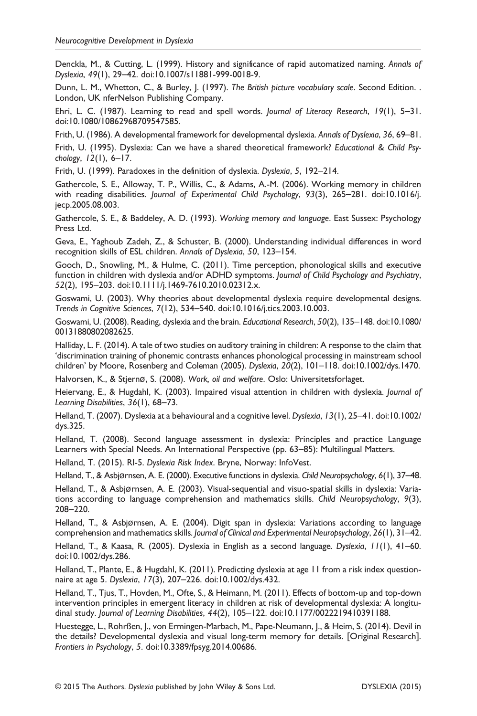Denckla, M., & Cutting, L. (1999). History and significance of rapid automatized naming. Annals of Dyslexia, 49(1), 29–42. doi:10.1007/s11881-999-0018-9.

Dunn, L. M., Whetton, C., & Burley, J. (1997). The British picture vocabulary scale. Second Edition. . London, UK nferNelson Publishing Company.

Ehri, L. C. (1987). Learning to read and spell words. Journal of Literacy Research, 19(1), 5–31. doi:10.1080/10862968709547585.

Frith, U. (1986). A developmental framework for developmental dyslexia. Annals of Dyslexia, 36, 69–81.

Frith, U. (1995). Dyslexia: Can we have a shared theoretical framework? Educational & Child Psychology, 12(1), 6–17.

Frith, U. (1999). Paradoxes in the definition of dyslexia. Dyslexia, 5, 192–214.

Gathercole, S. E., Alloway, T. P., Willis, C., & Adams, A.-M. (2006). Working memory in children with reading disabilities. Journal of Experimental Child Psychology, 93(3), 265–281. doi:10.1016/j. jecp.2005.08.003.

Gathercole, S. E., & Baddeley, A. D. (1993). Working memory and language. East Sussex: Psychology Press Ltd.

Geva, E., Yaghoub Zadeh, Z., & Schuster, B. (2000). Understanding individual differences in word recognition skills of ESL children. Annals of Dyslexia, 50, 123–154.

Gooch, D., Snowling, M., & Hulme, C. (2011). Time perception, phonological skills and executive function in children with dyslexia and/or ADHD symptoms. Journal of Child Psychology and Psychiatry, 52(2), 195–203. doi:10.1111/j.1469-7610.2010.02312.x.

Goswami, U. (2003). Why theories about developmental dyslexia require developmental designs. Trends in Cognitive Sciences, 7(12), 534–540. doi:10.1016/j.tics.2003.10.003.

Goswami, U. (2008). Reading, dyslexia and the brain. Educational Research, 50(2), 135–148. doi:10.1080/ 00131880802082625.

Halliday, L. F. (2014). A tale of two studies on auditory training in children: A response to the claim that 'discrimination training of phonemic contrasts enhances phonological processing in mainstream school children' by Moore, Rosenberg and Coleman (2005). Dyslexia, 20(2), 101–118. doi:10.1002/dys.1470.

Halvorsen, K., & Stjernø, S. (2008). Work, oil and welfare. Oslo: Universitetsforlaget.

Heiervang, E., & Hugdahl, K. (2003). Impaired visual attention in children with dyslexia. Journal of Learning Disabilities, 36(1), 68–73.

Helland, T. (2007). Dyslexia at a behavioural and a cognitive level. Dyslexia, 13(1), 25–41. doi:10.1002/ dys.325.

Helland, T. (2008). Second language assessment in dyslexia: Principles and practice Language Learners with Special Needs. An International Perspective (pp. 63–85): Multilingual Matters.

Helland, T. (2015). RI-5. Dyslexia Risk Index. Bryne, Norway: InfoVest.

Helland, T., & Asbjørnsen, A. E. (2000). Executive functions in dyslexia. Child Neuropsychology, 6(1), 37–48.

Helland, T., & Asbjørnsen, A. E. (2003). Visual-sequential and visuo-spatial skills in dyslexia: Variations according to language comprehension and mathematics skills. Child Neuropsychology, 9(3), 208–220.

Helland, T., & Asbjørnsen, A. E. (2004). Digit span in dyslexia: Variations according to language comprehension and mathematics skills. Journal of Clinical and Experimental Neuropsychology, 26(1), 31-42.

Helland, T., & Kaasa, R. (2005). Dyslexia in English as a second language. Dyslexia, 11(1), 41–60. doi:10.1002/dys.286.

Helland, T., Plante, E., & Hugdahl, K. (2011). Predicting dyslexia at age 11 from a risk index questionnaire at age 5. Dyslexia, 17(3), 207–226. doi:10.1002/dys.432.

Helland, T., Tjus, T., Hovden, M., Ofte, S., & Heimann, M. (2011). Effects of bottom-up and top-down intervention principles in emergent literacy in children at risk of developmental dyslexia: A longitudinal study. Journal of Learning Disabilities, 44(2), 105–122. doi:10.1177/0022219410391188.

Huestegge, L., Rohrßen, J., von Ermingen-Marbach, M., Pape-Neumann, J., & Heim, S. (2014). Devil in the details? Developmental dyslexia and visual long-term memory for details. [Original Research]. Frontiers in Psychology, 5. doi:10.3389/fpsyg.2014.00686.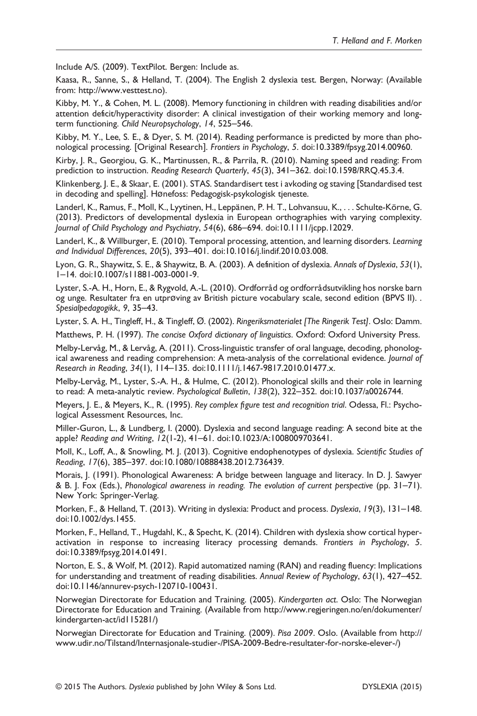Include A/S. (2009). TextPilot. Bergen: Include as.

Kaasa, R., Sanne, S., & Helland, T. (2004). The English 2 dyslexia test. Bergen, Norway: (Available from:<http://www.vesttest.no>).

Kibby, M. Y., & Cohen, M. L. (2008). Memory functioning in children with reading disabilities and/or attention deficit/hyperactivity disorder: A clinical investigation of their working memory and longterm functioning. Child Neuropsychology, 14, 525–546.

Kibby, M. Y., Lee, S. E., & Dyer, S. M. (2014). Reading performance is predicted by more than phonological processing. [Original Research]. Frontiers in Psychology, 5. doi:10.3389/fpsyg.2014.00960.

Kirby, J. R., Georgiou, G. K., Martinussen, R., & Parrila, R. (2010). Naming speed and reading: From prediction to instruction. Reading Research Quarterly, 45(3), 341–362. doi:10.1598/RRQ.45.3.4.

Klinkenberg, J. E., & Skaar, E. (2001). STAS. Standardisert test i avkoding og staving [Standardised test in decoding and spelling]. Hønefoss: Pedagogisk-psykologisk tjeneste.

Landerl, K., Ramus, F., Moll, K., Lyytinen, H., Leppänen, P. H. T., Lohvansuu, K., . . . Schulte-Körne, G. (2013). Predictors of developmental dyslexia in European orthographies with varying complexity. Journal of Child Psychology and Psychiatry, 54(6), 686–694. doi:10.1111/jcpp.12029.

Landerl, K., & Willburger, E. (2010). Temporal processing, attention, and learning disorders. Learning and Individual Differences, 20(5), 393–401. doi:10.1016/j.lindif.2010.03.008.

Lyon, G. R., Shaywitz, S. E., & Shaywitz, B. A. (2003). A definition of dyslexia. Annals of Dyslexia, 53(1), 1–14. doi:10.1007/s11881-003-0001-9.

Lyster, S.-A. H., Horn, E., & Rygvold, A.-L. (2010). Ordforråd og ordforrådsutvikling hos norske barn og unge. Resultater fra en utprøving av British picture vocabulary scale, second edition (BPVS II). . Spesialpedagogikk, 9, 35–43.

Lyster, S. A. H., Tingleff, H., & Tingleff, Ø. (2002). Ringeriksmaterialet [The Ringerik Test]. Oslo: Damm.

Matthews, P. H. (1997). The concise Oxford dictionary of linguistics. Oxford: Oxford University Press.

Melby-Lervåg, M., & Lervåg, A. (2011). Cross-linguistic transfer of oral language, decoding, phonological awareness and reading comprehension: A meta-analysis of the correlational evidence. Journal of Research in Reading, 34(1), 114–135. doi:10.1111/j.1467-9817.2010.01477.x.

Melby-Lervåg, M., Lyster, S.-A. H., & Hulme, C. (2012). Phonological skills and their role in learning to read: A meta-analytic review. Psychological Bulletin, 138(2), 322–352. doi:10.1037/a0026744.

Meyers, J. E., & Meyers, K., R. (1995). Rey complex figure test and recognition trial. Odessa, Fl.: Psychological Assessment Resources, Inc.

Miller-Guron, L., & Lundberg, I. (2000). Dyslexia and second language reading: A second bite at the apple? Reading and Writing, 12(1-2), 41–61. doi:10.1023/A:1008009703641.

Moll, K., Loff, A., & Snowling, M. J. (2013). Cognitive endophenotypes of dyslexia. Scientific Studies of Reading, 17(6), 385–397. doi:10.1080/10888438.2012.736439.

Morais, J. (1991). Phonological Awareness: A bridge between language and literacy. In D. J. Sawyer & B. J. Fox (Eds.), Phonological awareness in reading. The evolution of current perspective (pp. 31–71). New York: Springer-Verlag.

Morken, F., & Helland, T. (2013). Writing in dyslexia: Product and process. Dyslexia, 19(3), 131–148. doi:10.1002/dys.1455.

Morken, F., Helland, T., Hugdahl, K., & Specht, K. (2014). Children with dyslexia show cortical hyperactivation in response to increasing literacy processing demands. Frontiers in Psychology, 5. doi:10.3389/fpsyg.2014.01491.

Norton, E. S., & Wolf, M. (2012). Rapid automatized naming (RAN) and reading fluency: Implications for understanding and treatment of reading disabilities. Annual Review of Psychology, 63(1), 427–452. doi:10.1146/annurev-psych-120710-100431.

Norwegian Directorate for Education and Training. (2005). Kindergarten act. Oslo: The Norwegian Directorate for Education and Training. (Available from [http://www.regjeringen.no/en/dokumenter/](http://www.regjeringen.no/en/dokumenter/kindergarten-act/id115281/) [kindergarten-act/id115281/](http://www.regjeringen.no/en/dokumenter/kindergarten-act/id115281/))

Norwegian Directorate for Education and Training. (2009). Pisa 2009. Oslo. (Available from [http://](http://www.udir.no/Tilstand/Internasjonale-studier-/PISA-2009-Bedre-resultater-for-norske-elever-/) [www.udir.no/Tilstand/Internasjonale-studier-/PISA-2009-Bedre-resultater-for-norske-elever-/](http://www.udir.no/Tilstand/Internasjonale-studier-/PISA-2009-Bedre-resultater-for-norske-elever-/))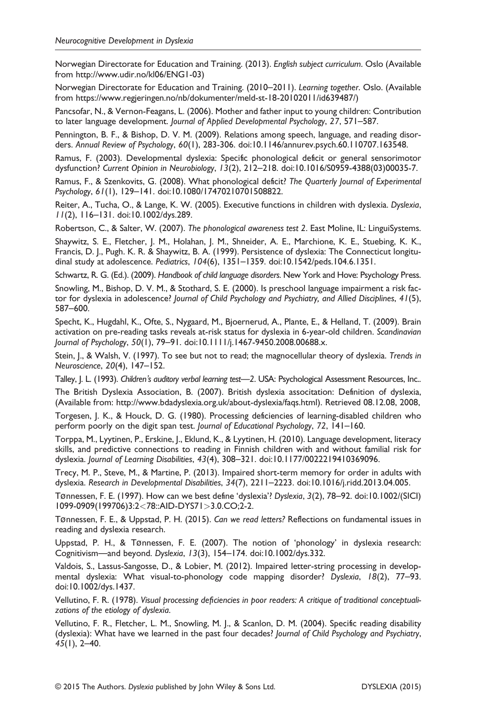Norwegian Directorate for Education and Training. (2013). English subject curriculum. Oslo (Available from http://www.udir.no/kl06/ENG1-03)

Norwegian Directorate for Education and Training. (2010–2011). Learning together. Oslo. (Available from [https://www.regjeringen.no/nb/dokumenter/meld-st-18-20102011/id639487/\)](https://www.regjeringen.no/nb/dokumenter/meld-st-18-20102011/id639487/)

Pancsofar, N., & Vernon-Feagans, L. (2006). Mother and father input to young children: Contribution to later language development. Journal of Applied Developmental Psychology, 27, 571–587.

Pennington, B. F., & Bishop, D. V. M. (2009). Relations among speech, language, and reading disorders. Annual Review of Psychology, 60(1), 283-306. doi:10.1146/annurev.psych.60.110707.163548.

Ramus, F. (2003). Developmental dyslexia: Specific phonological deficit or general sensorimotor dysfunction? Current Opinion in Neurobiology, 13(2), 212–218. doi:10.1016/S0959-4388(03)00035-7.

Ramus, F., & Szenkovits, G. (2008). What phonological deficit? The Quarterly Journal of Experimental Psychology, 61(1), 129–141. doi:10.1080/17470210701508822.

Reiter, A., Tucha, O., & Lange, K. W. (2005). Executive functions in children with dyslexia. Dyslexia, 11(2), 116–131. doi:10.1002/dys.289.

Robertson, C., & Salter, W. (2007). The phonological awareness test 2. East Moline, IL: LinguiSystems.

Shaywitz, S. E., Fletcher, J. M., Holahan, J. M., Shneider, A. E., Marchione, K. E., Stuebing, K. K., Francis, D. J., Pugh. K. R. & Shaywitz, B. A. (1999). Persistence of dyslexia: The Connecticut longitudinal study at adolescence. Pediatrics, 104(6), 1351–1359. doi:10.1542/peds.104.6.1351.

Schwartz, R. G. (Ed.). (2009). Handbook of child language disorders. New York and Hove: Psychology Press.

Snowling, M., Bishop, D. V. M., & Stothard, S. E. (2000). Is preschool language impairment a risk factor for dyslexia in adolescence? Journal of Child Psychology and Psychiatry, and Allied Disciplines, 41(5), 587–600.

Specht, K., Hugdahl, K., Ofte, S., Nygaard, M., Bjoernerud, A., Plante, E., & Helland, T. (2009). Brain activation on pre-reading tasks reveals at-risk status for dyslexia in 6-year-old children. Scandinavian Journal of Psychology, 50(1), 79–91. doi:10.1111/j.1467-9450.2008.00688.x.

Stein, J., & Walsh, V. (1997). To see but not to read; the magnocellular theory of dyslexia. Trends in Neuroscience, 20(4), 147–152.

Talley, J. L. (1993). Children's auditory verbal learning test—2. USA: Psychological Assessment Resources, Inc..

The British Dyslexia Association, B. (2007). British dyslexia associtation: Definition of dyslexia, (Available from:<http://www.bdadyslexia.org.uk/about-dyslexia/faqs.html>). Retrieved 08.12.08, 2008,

Torgesen, J. K., & Houck, D. G. (1980). Processing deficiencies of learning-disabled children who perform poorly on the digit span test. Journal of Educational Psychology, 72, 141–160.

Torppa, M., Lyytinen, P., Erskine, J., Eklund, K., & Lyytinen, H. (2010). Language development, literacy skills, and predictive connections to reading in Finnish children with and without familial risk for dyslexia. Journal of Learning Disabilities, 43(4), 308–321. doi:10.1177/0022219410369096.

Trecy, M. P., Steve, M., & Martine, P. (2013). Impaired short-term memory for order in adults with dyslexia. Research in Developmental Disabilities, 34(7), 2211–2223. doi:10.1016/j.ridd.2013.04.005.

Tønnessen, F. E. (1997). How can we best define 'dyslexia'? Dyslexia, 3(2), 78–92. doi:10.1002/(SICI) 1099-0909(199706)3:2<78::AID-DYS71>3.0.CO;2-2.

Tønnessen, F. E., & Uppstad, P. H. (2015). Can we read letters? Reflections on fundamental issues in reading and dyslexia research.

Uppstad, P. H., & Tønnessen, F. E. (2007). The notion of 'phonology' in dyslexia research: Cognitivism—and beyond. Dyslexia, 13(3), 154–174. doi:10.1002/dys.332.

Valdois, S., Lassus-Sangosse, D., & Lobier, M. (2012). Impaired letter-string processing in developmental dyslexia: What visual-to-phonology code mapping disorder? Dyslexia, 18(2), 77–93. doi:10.1002/dys.1437.

Vellutino, F. R. (1978). Visual processing deficiencies in poor readers: A critique of traditional conceptualizations of the etiology of dyslexia.

Vellutino, F. R., Fletcher, L. M., Snowling, M. J., & Scanlon, D. M. (2004). Specific reading disability (dyslexia): What have we learned in the past four decades? Journal of Child Psychology and Psychiatry, 45(1), 2–40.